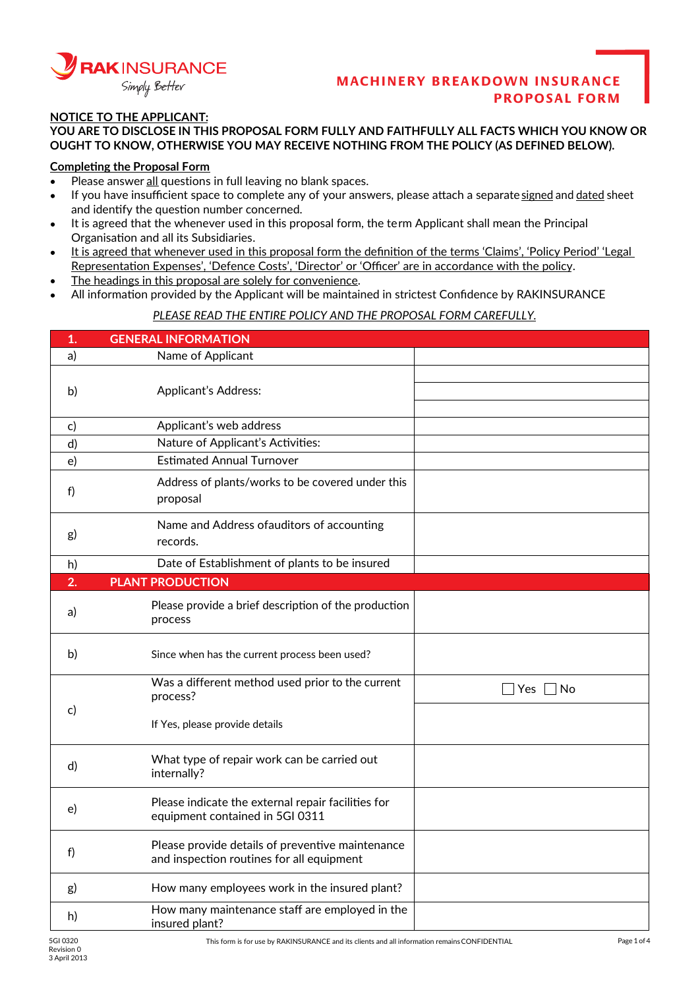

### **NOTICE TO THE APPLICANT:**

**YOU ARE TO DISCLOSE IN THIS PROPOSAL FORM FULLY AND FAITHFULLY ALL FACTS WHICH YOU KNOW OR OUGHT TO KNOW, OTHERWISE YOU MAY RECEIVE NOTHING FROM THE POLICY (AS DEFINED BELOW).**

#### **Completing the Proposal Form**

- Please answer all questions in full leaving no blank spaces.  $\bullet$
- If you have insufficient space to complete any of your answers, please attach a separate signed and dated sheet  $\bullet$ and identify the question number concerned.
- It is agreed that the whenever used in this proposal form, the term Applicant shall mean the Principal  $\bullet$ Organisation and all its Subsidiaries.
- It is agreed that whenever used in this proposal form the definition of the terms 'Claims', 'Policy Period' 'Legal  $\bullet$ Representation Expenses', 'Defence Costs', 'Director' or 'Officer' are in accordance with the policy.
- The headings in this proposal are solely for convenience.  $\bullet$
- All information provided by the Applicant will be maintained in strictest Confidence by RAKINSURANCE

#### *PLEASE READ THE ENTIRE POLICY AND THE PROPOSAL FORM CAREFULLY.*

| 1.       | <b>GENERAL INFORMATION</b>                                                                    |                      |
|----------|-----------------------------------------------------------------------------------------------|----------------------|
| a)       | Name of Applicant                                                                             |                      |
|          |                                                                                               |                      |
| b)       | Applicant's Address:                                                                          |                      |
|          |                                                                                               |                      |
| C)       | Applicant's web address                                                                       |                      |
| d)       | Nature of Applicant's Activities:                                                             |                      |
| e)       | <b>Estimated Annual Turnover</b>                                                              |                      |
| f)       | Address of plants/works to be covered under this<br>proposal                                  |                      |
| g)       | Name and Address of auditors of accounting<br>records.                                        |                      |
| h)       | Date of Establishment of plants to be insured                                                 |                      |
| 2.       | <b>PLANT PRODUCTION</b>                                                                       |                      |
| a)       | Please provide a brief description of the production<br>process                               |                      |
| b)       | Since when has the current process been used?                                                 |                      |
|          | Was a different method used prior to the current<br>process?                                  | $\Box$ Yes $\Box$ No |
| c)       | If Yes, please provide details                                                                |                      |
| d)       | What type of repair work can be carried out<br>internally?                                    |                      |
| e)       | Please indicate the external repair facilities for<br>equipment contained in 5GI 0311         |                      |
| f)       | Please provide details of preventive maintenance<br>and inspection routines for all equipment |                      |
| g)       | How many employees work in the insured plant?                                                 |                      |
| h)       | How many maintenance staff are employed in the<br>insured plant?                              |                      |
| 5GI 0320 | This form is for use by RAKINSURANCE and its clients and all information remains CONFIDENTIAL | Page 1 of 4          |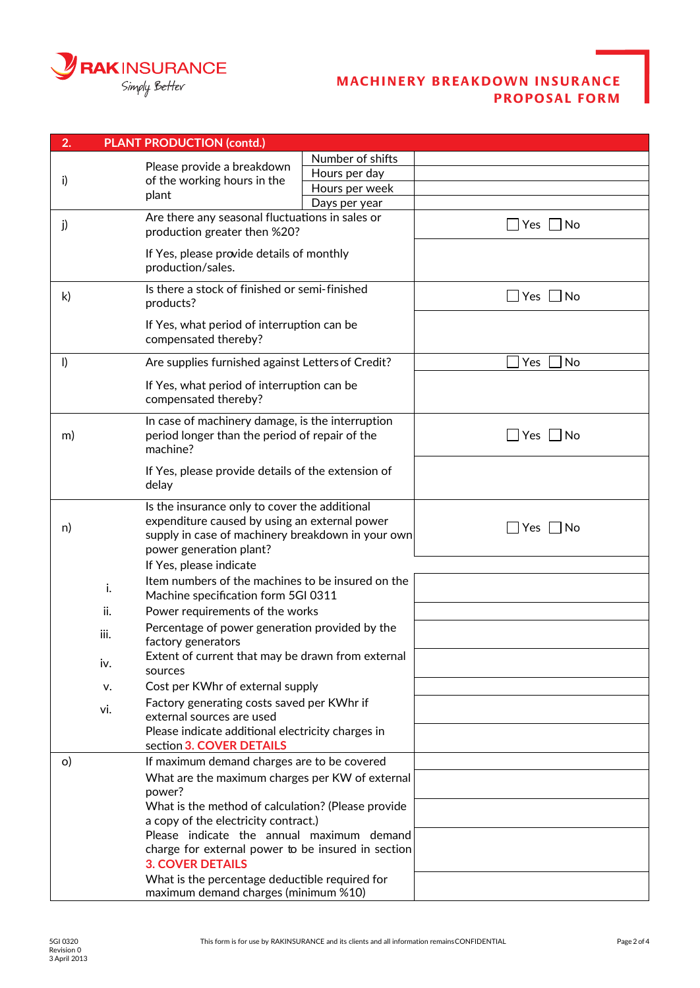

| 2.           | <b>PLANT PRODUCTION (contd.)</b>                                                                                                                                               |                  |                      |  |
|--------------|--------------------------------------------------------------------------------------------------------------------------------------------------------------------------------|------------------|----------------------|--|
| i)           |                                                                                                                                                                                | Number of shifts |                      |  |
|              | Please provide a breakdown<br>of the working hours in the                                                                                                                      | Hours per day    |                      |  |
|              | plant                                                                                                                                                                          | Hours per week   |                      |  |
|              |                                                                                                                                                                                | Days per year    |                      |  |
| j)           | Are there any seasonal fluctuations in sales or<br>production greater then %20?                                                                                                |                  | $\Box$ Yes $\Box$ No |  |
|              | If Yes, please provide details of monthly<br>production/sales.                                                                                                                 |                  |                      |  |
| $\mathsf{k}$ | Is there a stock of finished or semi-finished<br>products?                                                                                                                     |                  | $\Box$ Yes $\Box$ No |  |
|              | If Yes, what period of interruption can be<br>compensated thereby?                                                                                                             |                  |                      |  |
| $\vert$      | Are supplies furnished against Letters of Credit?                                                                                                                              |                  | Yes<br><b>No</b>     |  |
|              | If Yes, what period of interruption can be<br>compensated thereby?                                                                                                             |                  |                      |  |
| m)           | In case of machinery damage, is the interruption<br>period longer than the period of repair of the<br>machine?                                                                 |                  | $\Box$ Yes $\Box$ No |  |
|              | If Yes, please provide details of the extension of<br>delay                                                                                                                    |                  |                      |  |
| n)           | Is the insurance only to cover the additional<br>expenditure caused by using an external power<br>supply in case of machinery breakdown in your own<br>power generation plant? |                  | $\Box$ Yes<br> No    |  |
|              | If Yes, please indicate                                                                                                                                                        |                  |                      |  |
|              | Item numbers of the machines to be insured on the<br>i.<br>Machine specification form 5GI 0311                                                                                 |                  |                      |  |
|              | ii.<br>Power requirements of the works                                                                                                                                         |                  |                      |  |
|              | Percentage of power generation provided by the<br>iii.<br>factory generators                                                                                                   |                  |                      |  |
|              | Extent of current that may be drawn from external<br>iv.<br>sources                                                                                                            |                  |                      |  |
|              | Cost per KWhr of external supply<br>v.                                                                                                                                         |                  |                      |  |
|              | Factory generating costs saved per KWhr if<br>vi.<br>external sources are used                                                                                                 |                  |                      |  |
|              | Please indicate additional electricity charges in<br>section 3. COVER DETAILS                                                                                                  |                  |                      |  |
| $\circ$      | If maximum demand charges are to be covered                                                                                                                                    |                  |                      |  |
|              | What are the maximum charges per KW of external<br>power?                                                                                                                      |                  |                      |  |
|              | What is the method of calculation? (Please provide<br>a copy of the electricity contract.)                                                                                     |                  |                      |  |
|              | Please indicate the annual maximum demand                                                                                                                                      |                  |                      |  |
|              | charge for external power to be insured in section<br><b>3. COVER DETAILS</b>                                                                                                  |                  |                      |  |
|              | What is the percentage deductible required for<br>maximum demand charges (minimum %10)                                                                                         |                  |                      |  |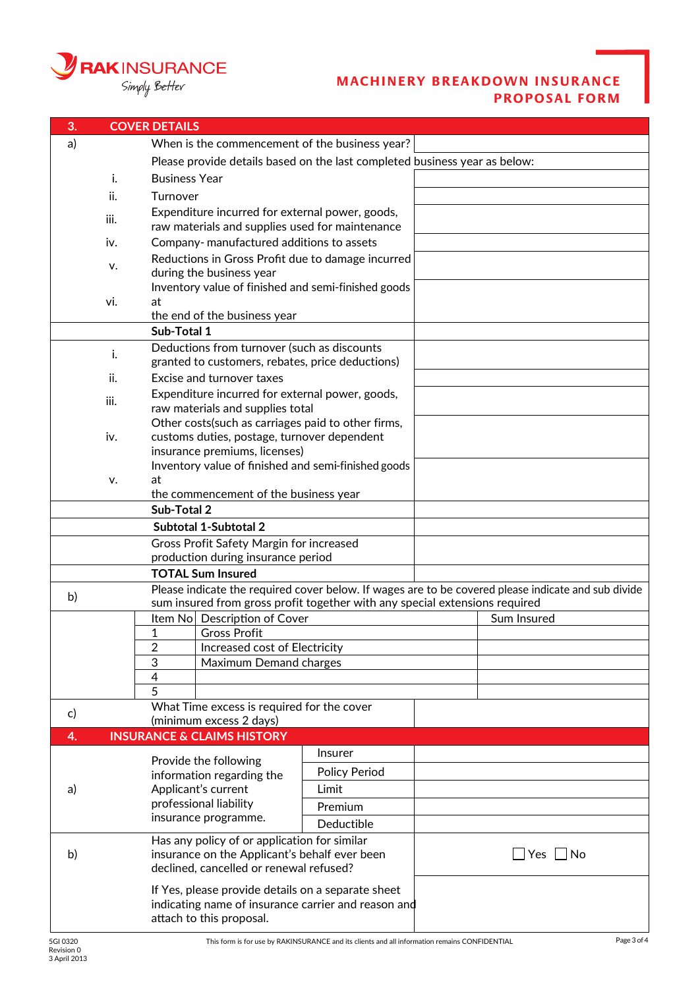

| 3.                                                                                                        |                                              | <b>COVER DETAILS</b>                                                                     |                                                                                                    |                                                                             |  |                                                                                                     |
|-----------------------------------------------------------------------------------------------------------|----------------------------------------------|------------------------------------------------------------------------------------------|----------------------------------------------------------------------------------------------------|-----------------------------------------------------------------------------|--|-----------------------------------------------------------------------------------------------------|
| a)                                                                                                        |                                              | When is the commencement of the business year?                                           |                                                                                                    |                                                                             |  |                                                                                                     |
|                                                                                                           |                                              | Please provide details based on the last completed business year as below:               |                                                                                                    |                                                                             |  |                                                                                                     |
|                                                                                                           | i.                                           |                                                                                          | <b>Business Year</b>                                                                               |                                                                             |  |                                                                                                     |
|                                                                                                           | ii.                                          |                                                                                          |                                                                                                    |                                                                             |  |                                                                                                     |
|                                                                                                           |                                              |                                                                                          | Turnover                                                                                           |                                                                             |  |                                                                                                     |
|                                                                                                           | iii.                                         |                                                                                          | Expenditure incurred for external power, goods,<br>raw materials and supplies used for maintenance |                                                                             |  |                                                                                                     |
|                                                                                                           | iv.                                          |                                                                                          | Company-manufactured additions to assets                                                           |                                                                             |  |                                                                                                     |
|                                                                                                           |                                              | Reductions in Gross Profit due to damage incurred                                        |                                                                                                    |                                                                             |  |                                                                                                     |
|                                                                                                           | v.                                           |                                                                                          | during the business year                                                                           |                                                                             |  |                                                                                                     |
|                                                                                                           |                                              |                                                                                          | Inventory value of finished and semi-finished goods                                                |                                                                             |  |                                                                                                     |
|                                                                                                           | vi.                                          | at                                                                                       |                                                                                                    |                                                                             |  |                                                                                                     |
|                                                                                                           |                                              |                                                                                          | the end of the business year                                                                       |                                                                             |  |                                                                                                     |
|                                                                                                           |                                              | Sub-Total 1                                                                              |                                                                                                    |                                                                             |  |                                                                                                     |
|                                                                                                           | i.                                           |                                                                                          | Deductions from turnover (such as discounts                                                        |                                                                             |  |                                                                                                     |
|                                                                                                           |                                              |                                                                                          | granted to customers, rebates, price deductions)                                                   |                                                                             |  |                                                                                                     |
|                                                                                                           | ii.                                          |                                                                                          | <b>Excise and turnover taxes</b>                                                                   |                                                                             |  |                                                                                                     |
|                                                                                                           | iii.                                         |                                                                                          | Expenditure incurred for external power, goods,                                                    |                                                                             |  |                                                                                                     |
|                                                                                                           |                                              |                                                                                          | raw materials and supplies total<br>Other costs (such as carriages paid to other firms,            |                                                                             |  |                                                                                                     |
|                                                                                                           | iv.                                          |                                                                                          | customs duties, postage, turnover dependent                                                        |                                                                             |  |                                                                                                     |
|                                                                                                           |                                              |                                                                                          | insurance premiums, licenses)                                                                      |                                                                             |  |                                                                                                     |
|                                                                                                           |                                              |                                                                                          |                                                                                                    | Inventory value of finished and semi-finished goods                         |  |                                                                                                     |
|                                                                                                           | v.                                           | at                                                                                       |                                                                                                    |                                                                             |  |                                                                                                     |
|                                                                                                           |                                              |                                                                                          | the commencement of the business year                                                              |                                                                             |  |                                                                                                     |
|                                                                                                           |                                              | Sub-Total 2                                                                              |                                                                                                    |                                                                             |  |                                                                                                     |
|                                                                                                           | Subtotal 1-Subtotal 2                        |                                                                                          |                                                                                                    |                                                                             |  |                                                                                                     |
|                                                                                                           |                                              |                                                                                          | Gross Profit Safety Margin for increased                                                           |                                                                             |  |                                                                                                     |
|                                                                                                           |                                              |                                                                                          | production during insurance period                                                                 |                                                                             |  |                                                                                                     |
|                                                                                                           | <b>TOTAL Sum Insured</b>                     |                                                                                          |                                                                                                    |                                                                             |  |                                                                                                     |
| b)                                                                                                        |                                              |                                                                                          |                                                                                                    | sum insured from gross profit together with any special extensions required |  | Please indicate the required cover below. If wages are to be covered please indicate and sub divide |
|                                                                                                           |                                              |                                                                                          | Item No Description of Cover                                                                       |                                                                             |  | Sum Insured                                                                                         |
|                                                                                                           |                                              | 1                                                                                        | <b>Gross Profit</b>                                                                                |                                                                             |  |                                                                                                     |
|                                                                                                           |                                              | $\overline{c}$                                                                           | Increased cost of Electricity                                                                      |                                                                             |  |                                                                                                     |
|                                                                                                           |                                              | 3                                                                                        | Maximum Demand charges                                                                             |                                                                             |  |                                                                                                     |
|                                                                                                           |                                              | 4                                                                                        |                                                                                                    |                                                                             |  |                                                                                                     |
|                                                                                                           |                                              | $\overline{5}$                                                                           |                                                                                                    |                                                                             |  |                                                                                                     |
| c)                                                                                                        |                                              |                                                                                          | What Time excess is required for the cover                                                         |                                                                             |  |                                                                                                     |
|                                                                                                           |                                              |                                                                                          | (minimum excess 2 days)<br><b>INSURANCE &amp; CLAIMS HISTORY</b>                                   |                                                                             |  |                                                                                                     |
| 4.                                                                                                        |                                              |                                                                                          |                                                                                                    | <b>Insurer</b>                                                              |  |                                                                                                     |
|                                                                                                           |                                              |                                                                                          | Provide the following                                                                              |                                                                             |  |                                                                                                     |
|                                                                                                           |                                              | information regarding the                                                                |                                                                                                    | <b>Policy Period</b>                                                        |  |                                                                                                     |
| a)                                                                                                        |                                              |                                                                                          | Applicant's current                                                                                | Limit                                                                       |  |                                                                                                     |
|                                                                                                           |                                              | professional liability<br>insurance programme.                                           |                                                                                                    | Premium                                                                     |  |                                                                                                     |
|                                                                                                           |                                              |                                                                                          |                                                                                                    | Deductible                                                                  |  |                                                                                                     |
|                                                                                                           | Has any policy of or application for similar |                                                                                          |                                                                                                    |                                                                             |  |                                                                                                     |
| b)                                                                                                        |                                              | insurance on the Applicant's behalf ever been<br>declined, cancelled or renewal refused? |                                                                                                    | _  Yes   _  No                                                              |  |                                                                                                     |
|                                                                                                           |                                              |                                                                                          |                                                                                                    |                                                                             |  |                                                                                                     |
| If Yes, please provide details on a separate sheet<br>indicating name of insurance carrier and reason and |                                              |                                                                                          |                                                                                                    |                                                                             |  |                                                                                                     |
|                                                                                                           |                                              |                                                                                          | attach to this proposal.                                                                           |                                                                             |  |                                                                                                     |
|                                                                                                           |                                              |                                                                                          |                                                                                                    |                                                                             |  |                                                                                                     |